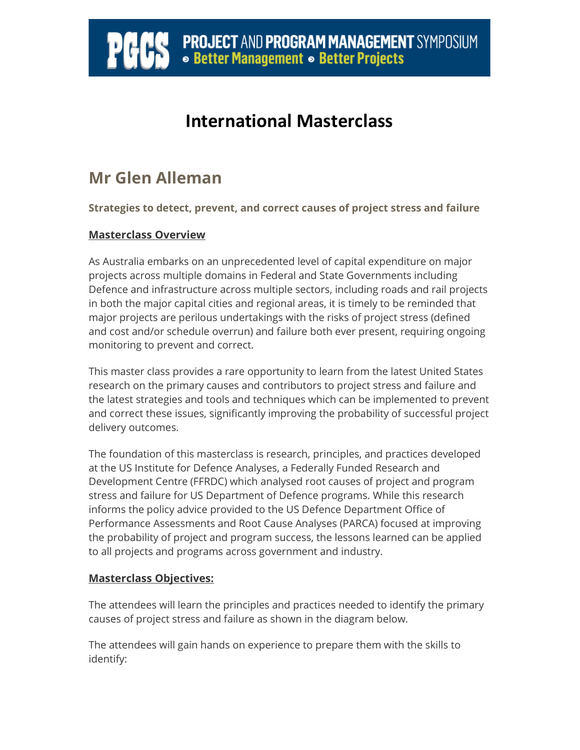# **PROJECT AND PROGRAM MANAGEMENT SYMPOSIUM** • **Better Management • Better Projects**

### **International Masterclass**

### **Mr Glen Alleman**

Ï

**Strategies to detect, prevent, and correct causes of project stress and failure** 

#### **Masterclass Overview**

As Australia embarks on an unprecedented level of capital expenditure on major projects across multiple domains in Federal and State Governments including Defence and infrastructure across multiple sectors, including roads and rail projects in both the major capital cities and regional areas, it is timely to be reminded that major projects are perilous undertakings with the risks of project stress (defined and cost and/or schedule overrun) and failure both ever present, requiring ongoing monitoring to prevent and correct.

This master class provides a rare opportunity to learn from the latest United States research on the primary causes and contributors to project stress and failure and the latest strategies and tools and techniques which can be implemented to prevent and correct these issues, significantly improving the probability of successful project delivery outcomes.

The foundation of this masterclass is research, principles, and practices developed at the US Institute for Defence Analyses, a Federally Funded Research and Development Centre (FFRDC) which analysed root causes of project and program stress and failure for US Department of Defence programs. While this research informs the policy advice provided to the US Defence Department Office of Performance Assessments and Root Cause Analyses (PARCA) focused at improving the probability of project and program success, the lessons learned can be applied to all projects and programs across government and industry.

#### **Masterclass Objectives:**

The attendees will learn the principles and practices needed to identify the primary causes of project stress and failure as shown in the diagram below.

The attendees will gain hands on experience to prepare them with the skills to identify: